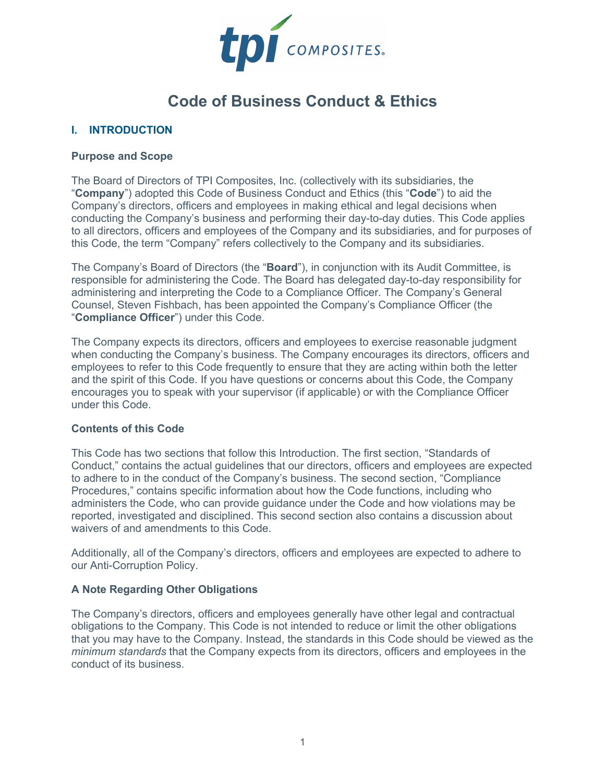

# **Code of Business Conduct & Ethics**

## **I. INTRODUCTION**

#### **Purpose and Scope**

The Board of Directors of TPI Composites, Inc. (collectively with its subsidiaries, the "**Company**") adopted this Code of Business Conduct and Ethics (this "**Code**") to aid the Company's directors, officers and employees in making ethical and legal decisions when conducting the Company's business and performing their day-to-day duties. This Code applies to all directors, officers and employees of the Company and its subsidiaries, and for purposes of this Code, the term "Company" refers collectively to the Company and its subsidiaries.

The Company's Board of Directors (the "**Board**"), in conjunction with its Audit Committee, is responsible for administering the Code. The Board has delegated day-to-day responsibility for administering and interpreting the Code to a Compliance Officer. The Company's General Counsel, Steven Fishbach, has been appointed the Company's Compliance Officer (the "**Compliance Officer**") under this Code.

The Company expects its directors, officers and employees to exercise reasonable judgment when conducting the Company's business. The Company encourages its directors, officers and employees to refer to this Code frequently to ensure that they are acting within both the letter and the spirit of this Code. If you have questions or concerns about this Code, the Company encourages you to speak with your supervisor (if applicable) or with the Compliance Officer under this Code.

#### **Contents of this Code**

This Code has two sections that follow this Introduction. The first section, "Standards of Conduct," contains the actual guidelines that our directors, officers and employees are expected to adhere to in the conduct of the Company's business. The second section, "Compliance Procedures," contains specific information about how the Code functions, including who administers the Code, who can provide guidance under the Code and how violations may be reported, investigated and disciplined. This second section also contains a discussion about waivers of and amendments to this Code.

Additionally, all of the Company's directors, officers and employees are expected to adhere to our Anti-Corruption Policy.

## **A Note Regarding Other Obligations**

The Company's directors, officers and employees generally have other legal and contractual obligations to the Company. This Code is not intended to reduce or limit the other obligations that you may have to the Company. Instead, the standards in this Code should be viewed as the *minimum standards* that the Company expects from its directors, officers and employees in the conduct of its business.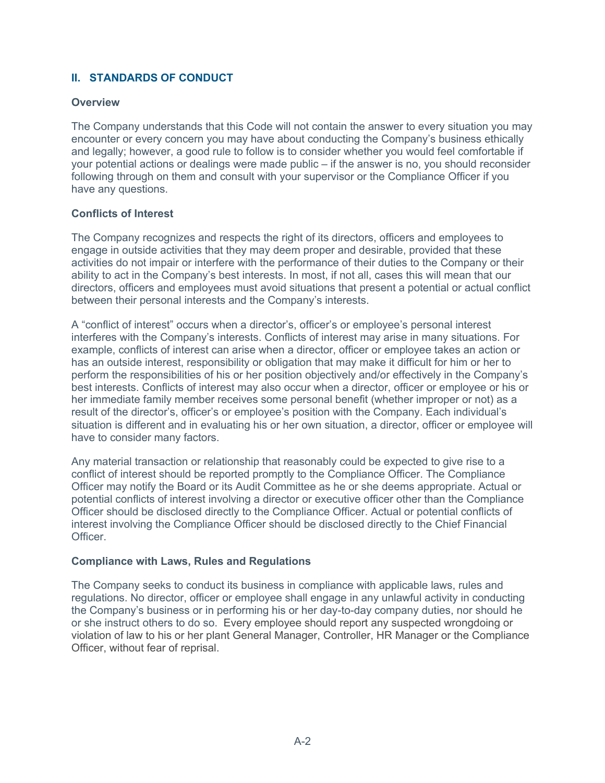# **II. STANDARDS OF CONDUCT**

#### **Overview**

The Company understands that this Code will not contain the answer to every situation you may encounter or every concern you may have about conducting the Company's business ethically and legally; however, a good rule to follow is to consider whether you would feel comfortable if your potential actions or dealings were made public – if the answer is no, you should reconsider following through on them and consult with your supervisor or the Compliance Officer if you have any questions.

## **Conflicts of Interest**

The Company recognizes and respects the right of its directors, officers and employees to engage in outside activities that they may deem proper and desirable, provided that these activities do not impair or interfere with the performance of their duties to the Company or their ability to act in the Company's best interests. In most, if not all, cases this will mean that our directors, officers and employees must avoid situations that present a potential or actual conflict between their personal interests and the Company's interests.

A "conflict of interest" occurs when a director's, officer's or employee's personal interest interferes with the Company's interests. Conflicts of interest may arise in many situations. For example, conflicts of interest can arise when a director, officer or employee takes an action or has an outside interest, responsibility or obligation that may make it difficult for him or her to perform the responsibilities of his or her position objectively and/or effectively in the Company's best interests. Conflicts of interest may also occur when a director, officer or employee or his or her immediate family member receives some personal benefit (whether improper or not) as a result of the director's, officer's or employee's position with the Company. Each individual's situation is different and in evaluating his or her own situation, a director, officer or employee will have to consider many factors.

Any material transaction or relationship that reasonably could be expected to give rise to a conflict of interest should be reported promptly to the Compliance Officer. The Compliance Officer may notify the Board or its Audit Committee as he or she deems appropriate. Actual or potential conflicts of interest involving a director or executive officer other than the Compliance Officer should be disclosed directly to the Compliance Officer. Actual or potential conflicts of interest involving the Compliance Officer should be disclosed directly to the Chief Financial Officer.

#### **Compliance with Laws, Rules and Regulations**

The Company seeks to conduct its business in compliance with applicable laws, rules and regulations. No director, officer or employee shall engage in any unlawful activity in conducting the Company's business or in performing his or her day-to-day company duties, nor should he or she instruct others to do so. Every employee should report any suspected wrongdoing or violation of law to his or her plant General Manager, Controller, HR Manager or the Compliance Officer, without fear of reprisal.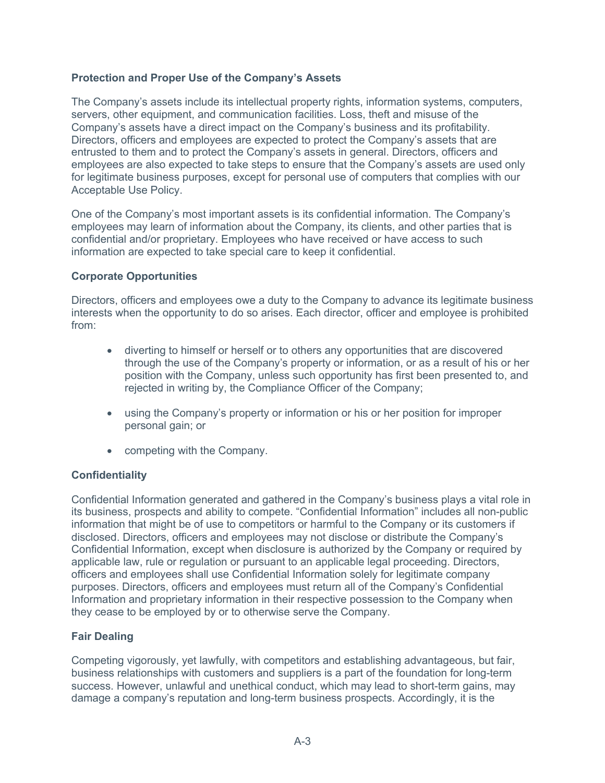## **Protection and Proper Use of the Company's Assets**

The Company's assets include its intellectual property rights, information systems, computers, servers, other equipment, and communication facilities. Loss, theft and misuse of the Company's assets have a direct impact on the Company's business and its profitability. Directors, officers and employees are expected to protect the Company's assets that are entrusted to them and to protect the Company's assets in general. Directors, officers and employees are also expected to take steps to ensure that the Company's assets are used only for legitimate business purposes, except for personal use of computers that complies with our Acceptable Use Policy.

One of the Company's most important assets is its confidential information. The Company's employees may learn of information about the Company, its clients, and other parties that is confidential and/or proprietary. Employees who have received or have access to such information are expected to take special care to keep it confidential.

## **Corporate Opportunities**

Directors, officers and employees owe a duty to the Company to advance its legitimate business interests when the opportunity to do so arises. Each director, officer and employee is prohibited from:

- diverting to himself or herself or to others any opportunities that are discovered through the use of the Company's property or information, or as a result of his or her position with the Company, unless such opportunity has first been presented to, and rejected in writing by, the Compliance Officer of the Company;
- using the Company's property or information or his or her position for improper personal gain; or
- competing with the Company.

## **Confidentiality**

Confidential Information generated and gathered in the Company's business plays a vital role in its business, prospects and ability to compete. "Confidential Information" includes all non-public information that might be of use to competitors or harmful to the Company or its customers if disclosed. Directors, officers and employees may not disclose or distribute the Company's Confidential Information, except when disclosure is authorized by the Company or required by applicable law, rule or regulation or pursuant to an applicable legal proceeding. Directors, officers and employees shall use Confidential Information solely for legitimate company purposes. Directors, officers and employees must return all of the Company's Confidential Information and proprietary information in their respective possession to the Company when they cease to be employed by or to otherwise serve the Company.

## **Fair Dealing**

Competing vigorously, yet lawfully, with competitors and establishing advantageous, but fair, business relationships with customers and suppliers is a part of the foundation for long-term success. However, unlawful and unethical conduct, which may lead to short-term gains, may damage a company's reputation and long-term business prospects. Accordingly, it is the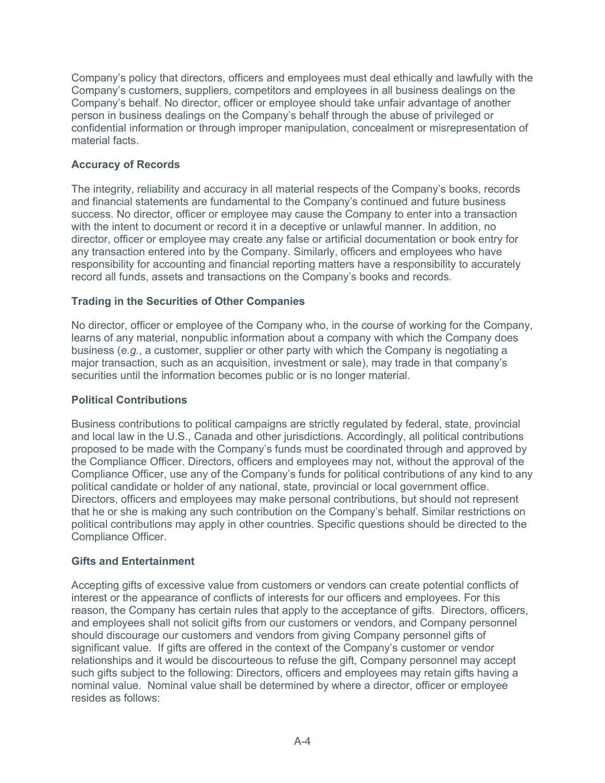Company's policy that directors, officers and employees must deal ethically and lawfully with the Company's customers, suppliers, competitors and employees in all business dealings on the Company's behalf. No director, officer or employee should take unfair advantage of another person in business dealings on the Company's behalf through the abuse of privileged or confidential information or through improper manipulation, concealment or misrepresentation of material facts.

## **Accuracy of Records**

The integrity, reliability and accuracy in all material respects of the Company's books, records and financial statements are fundamental to the Company's continued and future business success. No director, officer or employee may cause the Company to enter into a transaction with the intent to document or record it in a deceptive or unlawful manner. In addition, no director, officer or employee may create any false or artificial documentation or book entry for any transaction entered into by the Company. Similarly, officers and employees who have responsibility for accounting and financial reporting matters have a responsibility to accurately record all funds, assets and transactions on the Company's books and records.

## **Trading in the Securities of Other Companies**

No director, officer or employee of the Company who, in the course of working for the Company, learns of any material, nonpublic information about a company with which the Company does business (*e.g.*, a customer, supplier or other party with which the Company is negotiating a major transaction, such as an acquisition, investment or sale), may trade in that company's securities until the information becomes public or is no longer material.

## **Political Contributions**

Business contributions to political campaigns are strictly regulated by federal, state, provincial and local law in the U.S., Canada and other jurisdictions. Accordingly, all political contributions proposed to be made with the Company's funds must be coordinated through and approved by the Compliance Officer. Directors, officers and employees may not, without the approval of the Compliance Officer, use any of the Company's funds for political contributions of any kind to any political candidate or holder of any national, state, provincial or local government office. Directors, officers and employees may make personal contributions, but should not represent that he or she is making any such contribution on the Company's behalf. Similar restrictions on political contributions may apply in other countries. Specific questions should be directed to the Compliance Officer.

## **Gifts and Entertainment**

Accepting gifts of excessive value from customers or vendors can create potential conflicts of interest or the appearance of conflicts of interests for our officers and employees. For this reason, the Company has certain rules that apply to the acceptance of gifts. Directors, officers, and employees shall not solicit gifts from our customers or vendors, and Company personnel should discourage our customers and vendors from giving Company personnel gifts of significant value. If gifts are offered in the context of the Company's customer or vendor relationships and it would be discourteous to refuse the gift, Company personnel may accept such gifts subject to the following: Directors, officers and employees may retain gifts having a nominal value. Nominal value shall be determined by where a director, officer or employee resides as follows: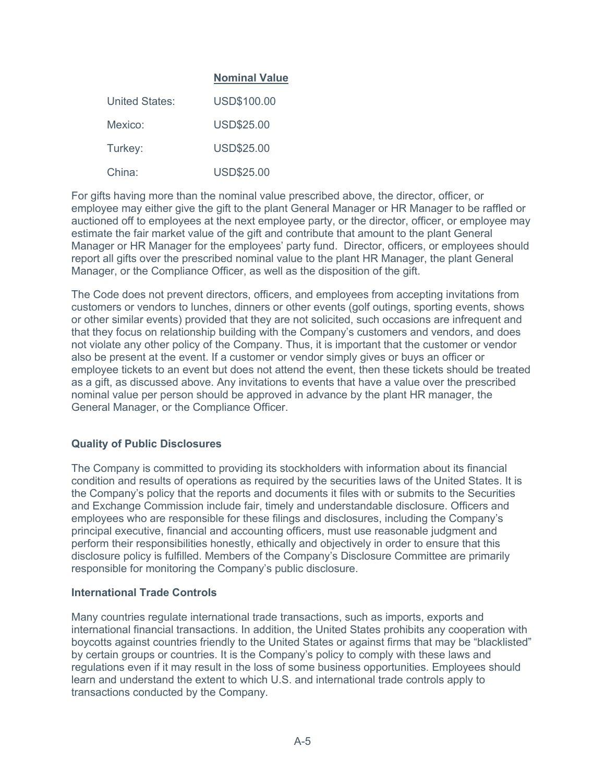## **Nominal Value**

| United States: | USD\$100.00       |
|----------------|-------------------|
| Mexico:        | <b>USD\$25.00</b> |
| Turkey:        | <b>USD\$25.00</b> |
| China:         | <b>USD\$25.00</b> |

For gifts having more than the nominal value prescribed above, the director, officer, or employee may either give the gift to the plant General Manager or HR Manager to be raffled or auctioned off to employees at the next employee party, or the director, officer, or employee may estimate the fair market value of the gift and contribute that amount to the plant General Manager or HR Manager for the employees' party fund. Director, officers, or employees should report all gifts over the prescribed nominal value to the plant HR Manager, the plant General Manager, or the Compliance Officer, as well as the disposition of the gift.

The Code does not prevent directors, officers, and employees from accepting invitations from customers or vendors to lunches, dinners or other events (golf outings, sporting events, shows or other similar events) provided that they are not solicited, such occasions are infrequent and that they focus on relationship building with the Company's customers and vendors, and does not violate any other policy of the Company. Thus, it is important that the customer or vendor also be present at the event. If a customer or vendor simply gives or buys an officer or employee tickets to an event but does not attend the event, then these tickets should be treated as a gift, as discussed above. Any invitations to events that have a value over the prescribed nominal value per person should be approved in advance by the plant HR manager, the General Manager, or the Compliance Officer.

## **Quality of Public Disclosures**

The Company is committed to providing its stockholders with information about its financial condition and results of operations as required by the securities laws of the United States. It is the Company's policy that the reports and documents it files with or submits to the Securities and Exchange Commission include fair, timely and understandable disclosure. Officers and employees who are responsible for these filings and disclosures, including the Company's principal executive, financial and accounting officers, must use reasonable judgment and perform their responsibilities honestly, ethically and objectively in order to ensure that this disclosure policy is fulfilled. Members of the Company's Disclosure Committee are primarily responsible for monitoring the Company's public disclosure.

#### **International Trade Controls**

Many countries regulate international trade transactions, such as imports, exports and international financial transactions. In addition, the United States prohibits any cooperation with boycotts against countries friendly to the United States or against firms that may be "blacklisted" by certain groups or countries. It is the Company's policy to comply with these laws and regulations even if it may result in the loss of some business opportunities. Employees should learn and understand the extent to which U.S. and international trade controls apply to transactions conducted by the Company.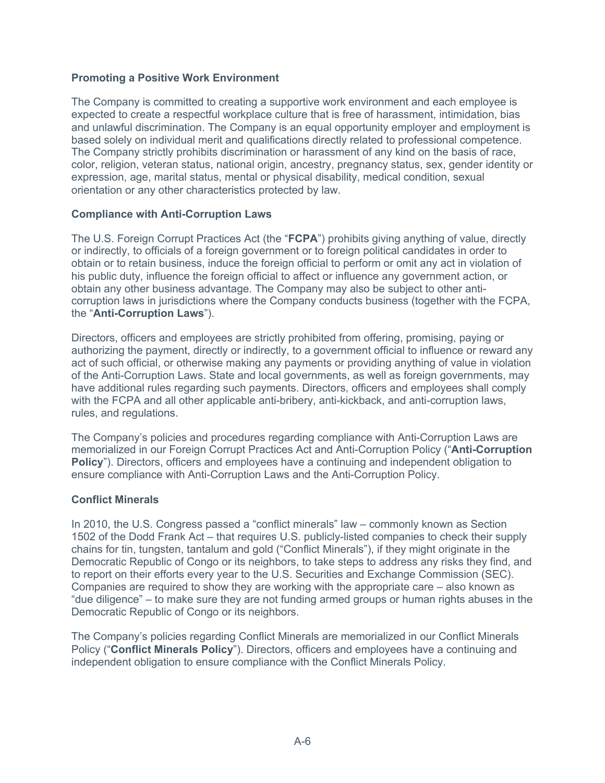## **Promoting a Positive Work Environment**

The Company is committed to creating a supportive work environment and each employee is expected to create a respectful workplace culture that is free of harassment, intimidation, bias and unlawful discrimination. The Company is an equal opportunity employer and employment is based solely on individual merit and qualifications directly related to professional competence. The Company strictly prohibits discrimination or harassment of any kind on the basis of race, color, religion, veteran status, national origin, ancestry, pregnancy status, sex, gender identity or expression, age, marital status, mental or physical disability, medical condition, sexual orientation or any other characteristics protected by law.

#### **Compliance with Anti-Corruption Laws**

The U.S. Foreign Corrupt Practices Act (the "**FCPA**") prohibits giving anything of value, directly or indirectly, to officials of a foreign government or to foreign political candidates in order to obtain or to retain business, induce the foreign official to perform or omit any act in violation of his public duty, influence the foreign official to affect or influence any government action, or obtain any other business advantage. The Company may also be subject to other anticorruption laws in jurisdictions where the Company conducts business (together with the FCPA, the "**Anti-Corruption Laws**").

Directors, officers and employees are strictly prohibited from offering, promising, paying or authorizing the payment, directly or indirectly, to a government official to influence or reward any act of such official, or otherwise making any payments or providing anything of value in violation of the Anti-Corruption Laws. State and local governments, as well as foreign governments, may have additional rules regarding such payments. Directors, officers and employees shall comply with the FCPA and all other applicable anti-bribery, anti-kickback, and anti-corruption laws, rules, and regulations.

The Company's policies and procedures regarding compliance with Anti-Corruption Laws are memorialized in our Foreign Corrupt Practices Act and Anti-Corruption Policy ("**Anti-Corruption Policy**"). Directors, officers and employees have a continuing and independent obligation to ensure compliance with Anti-Corruption Laws and the Anti-Corruption Policy.

#### **Conflict Minerals**

In 2010, the U.S. Congress passed a "conflict minerals" law – commonly known as Section 1502 of the Dodd Frank Act – that requires U.S. publicly-listed companies to check their supply chains for tin, tungsten, tantalum and gold ("Conflict Minerals"), if they might originate in the Democratic Republic of Congo or its neighbors, to take steps to address any risks they find, and to report on their efforts every year to the U.S. Securities and Exchange Commission (SEC). Companies are required to show they are working with the appropriate care – also known as "due diligence" – to make sure they are not funding armed groups or human rights abuses in the Democratic Republic of Congo or its neighbors.

The Company's policies regarding Conflict Minerals are memorialized in our Conflict Minerals Policy ("**Conflict Minerals Policy**"). Directors, officers and employees have a continuing and independent obligation to ensure compliance with the Conflict Minerals Policy.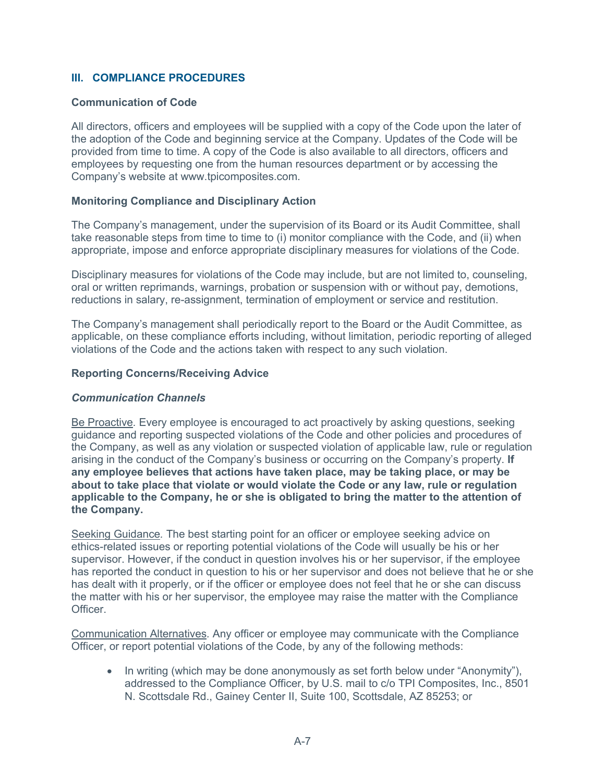## **III. COMPLIANCE PROCEDURES**

#### **Communication of Code**

All directors, officers and employees will be supplied with a copy of the Code upon the later of the adoption of the Code and beginning service at the Company. Updates of the Code will be provided from time to time. A copy of the Code is also available to all directors, officers and employees by requesting one from the human resources department or by accessing the Company's website at www.tpicomposites.com.

#### **Monitoring Compliance and Disciplinary Action**

The Company's management, under the supervision of its Board or its Audit Committee, shall take reasonable steps from time to time to (i) monitor compliance with the Code, and (ii) when appropriate, impose and enforce appropriate disciplinary measures for violations of the Code.

Disciplinary measures for violations of the Code may include, but are not limited to, counseling, oral or written reprimands, warnings, probation or suspension with or without pay, demotions, reductions in salary, re-assignment, termination of employment or service and restitution.

The Company's management shall periodically report to the Board or the Audit Committee, as applicable, on these compliance efforts including, without limitation, periodic reporting of alleged violations of the Code and the actions taken with respect to any such violation.

#### **Reporting Concerns/Receiving Advice**

#### *Communication Channels*

Be Proactive*.* Every employee is encouraged to act proactively by asking questions, seeking guidance and reporting suspected violations of the Code and other policies and procedures of the Company, as well as any violation or suspected violation of applicable law, rule or regulation arising in the conduct of the Company's business or occurring on the Company's property. **If any employee believes that actions have taken place, may be taking place, or may be about to take place that violate or would violate the Code or any law, rule or regulation applicable to the Company, he or she is obligated to bring the matter to the attention of the Company.**

Seeking Guidance*.* The best starting point for an officer or employee seeking advice on ethics-related issues or reporting potential violations of the Code will usually be his or her supervisor. However, if the conduct in question involves his or her supervisor, if the employee has reported the conduct in question to his or her supervisor and does not believe that he or she has dealt with it properly, or if the officer or employee does not feel that he or she can discuss the matter with his or her supervisor, the employee may raise the matter with the Compliance Officer.

Communication Alternatives*.* Any officer or employee may communicate with the Compliance Officer, or report potential violations of the Code, by any of the following methods:

• In writing (which may be done anonymously as set forth below under "Anonymity"), addressed to the Compliance Officer, by U.S. mail to c/o TPI Composites, Inc., 8501 N. Scottsdale Rd., Gainey Center II, Suite 100, Scottsdale, AZ 85253; or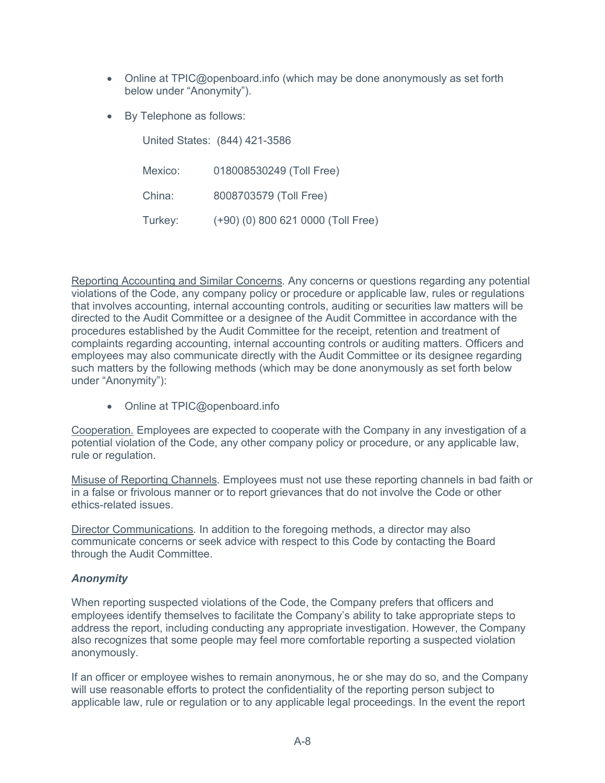- Online at TPIC@openboard.info (which may be done anonymously as set forth below under "Anonymity").
- By Telephone as follows:

United States: (844) 421-3586

| Mexico: | 018008530249 (Toll Free)           |
|---------|------------------------------------|
| China:  | 8008703579 (Toll Free)             |
| Turkey: | (+90) (0) 800 621 0000 (Toll Free) |

Reporting Accounting and Similar Concerns*.* Any concerns or questions regarding any potential violations of the Code, any company policy or procedure or applicable law, rules or regulations that involves accounting, internal accounting controls, auditing or securities law matters will be directed to the Audit Committee or a designee of the Audit Committee in accordance with the procedures established by the Audit Committee for the receipt, retention and treatment of complaints regarding accounting, internal accounting controls or auditing matters. Officers and employees may also communicate directly with the Audit Committee or its designee regarding such matters by the following methods (which may be done anonymously as set forth below under "Anonymity"):

• Online at TPIC@openboard.info

Cooperation. Employees are expected to cooperate with the Company in any investigation of a potential violation of the Code, any other company policy or procedure, or any applicable law, rule or regulation.

Misuse of Reporting Channels*.* Employees must not use these reporting channels in bad faith or in a false or frivolous manner or to report grievances that do not involve the Code or other ethics-related issues.

Director Communications*.* In addition to the foregoing methods, a director may also communicate concerns or seek advice with respect to this Code by contacting the Board through the Audit Committee.

# *Anonymity*

When reporting suspected violations of the Code, the Company prefers that officers and employees identify themselves to facilitate the Company's ability to take appropriate steps to address the report, including conducting any appropriate investigation. However, the Company also recognizes that some people may feel more comfortable reporting a suspected violation anonymously.

If an officer or employee wishes to remain anonymous, he or she may do so, and the Company will use reasonable efforts to protect the confidentiality of the reporting person subject to applicable law, rule or regulation or to any applicable legal proceedings. In the event the report